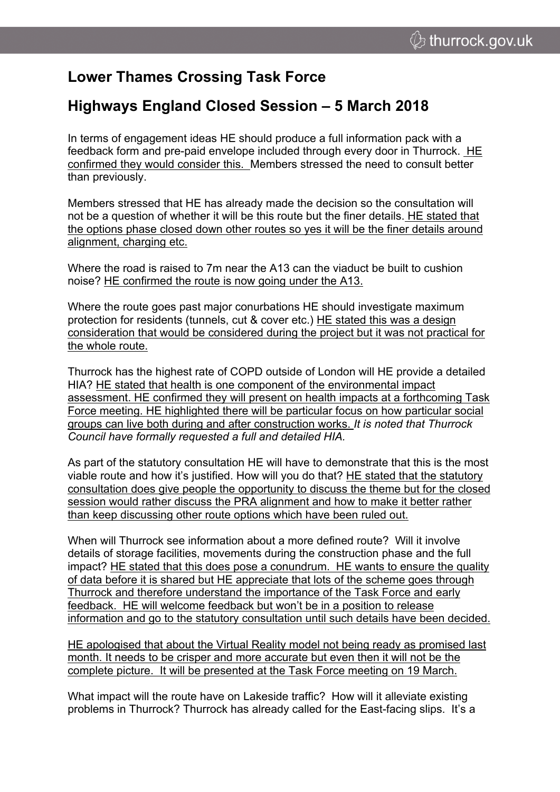## **Lower Thames Crossing Task Force**

## **Highways England Closed Session – 5 March 2018**

In terms of engagement ideas HE should produce a full information pack with a feedback form and pre-paid envelope included through every door in Thurrock. HE confirmed they would consider this. Members stressed the need to consult better than previously.

Members stressed that HE has already made the decision so the consultation will not be a question of whether it will be this route but the finer details. HE stated that the options phase closed down other routes so yes it will be the finer details around alignment, charging etc.

Where the road is raised to 7m near the A13 can the viaduct be built to cushion noise? HE confirmed the route is now going under the A13.

Where the route goes past major conurbations HE should investigate maximum protection for residents (tunnels, cut & cover etc.) HE stated this was a design consideration that would be considered during the project but it was not practical for the whole route.

Thurrock has the highest rate of COPD outside of London will HE provide a detailed HIA? HE stated that health is one component of the environmental impact assessment. HE confirmed they will present on health impacts at a forthcoming Task Force meeting. HE highlighted there will be particular focus on how particular social groups can live both during and after construction works. *It is noted that Thurrock Council have formally requested a full and detailed HIA.*

As part of the statutory consultation HE will have to demonstrate that this is the most viable route and how it's justified. How will you do that? HE stated that the statutory consultation does give people the opportunity to discuss the theme but for the closed session would rather discuss the PRA alignment and how to make it better rather than keep discussing other route options which have been ruled out.

When will Thurrock see information about a more defined route? Will it involve details of storage facilities, movements during the construction phase and the full impact? HE stated that this does pose a conundrum. HE wants to ensure the quality of data before it is shared but HE appreciate that lots of the scheme goes through Thurrock and therefore understand the importance of the Task Force and early feedback. HE will welcome feedback but won't be in a position to release information and go to the statutory consultation until such details have been decided.

HE apologised that about the Virtual Reality model not being ready as promised last month. It needs to be crisper and more accurate but even then it will not be the complete picture. It will be presented at the Task Force meeting on 19 March.

What impact will the route have on Lakeside traffic? How will it alleviate existing problems in Thurrock? Thurrock has already called for the East-facing slips. It's a